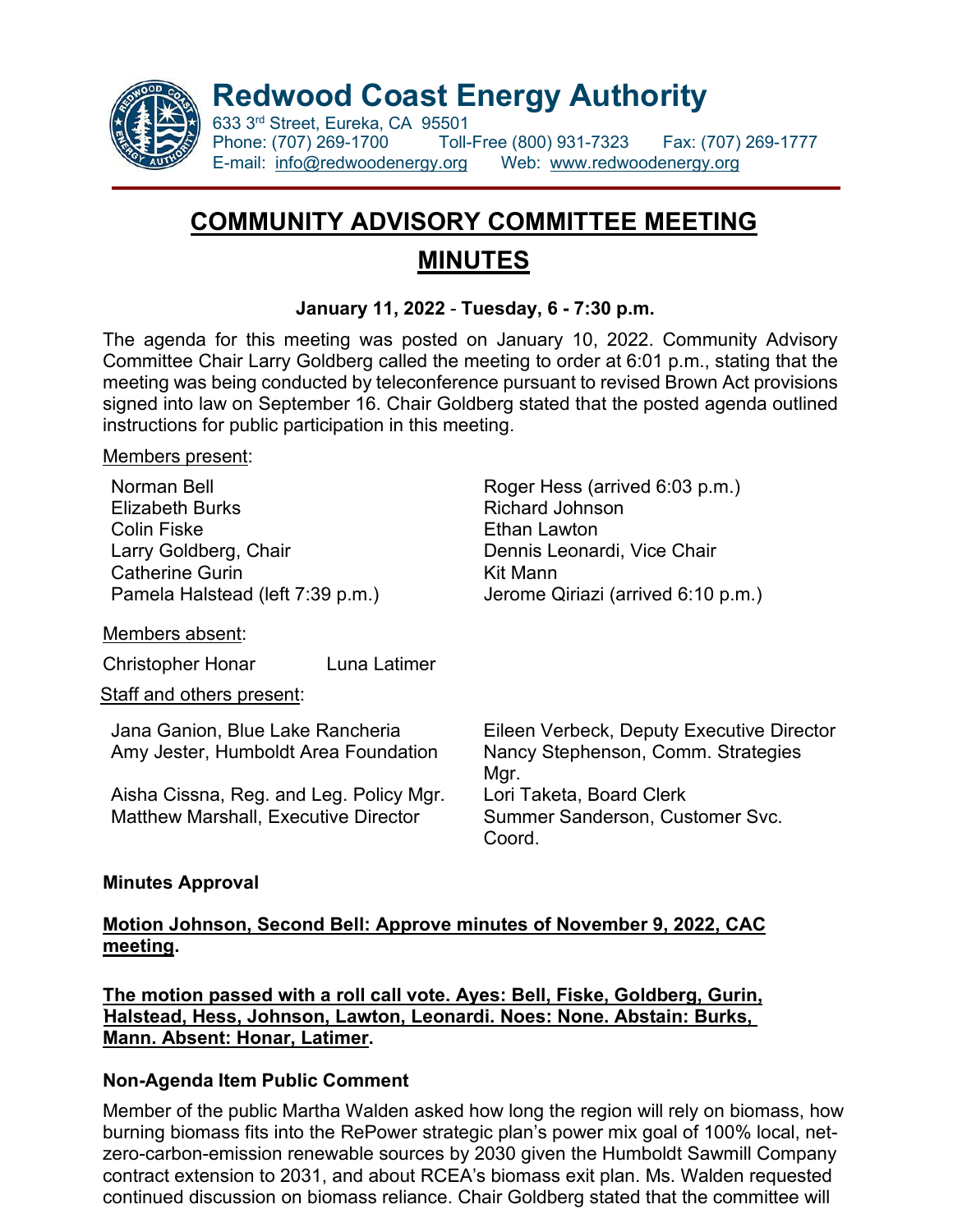

**Redwood Coast Energy Authority**

633 3<sup>rd</sup> Street, Eureka, CA 95501<br>Phone: (707) 269-1700 Toll-Phone: (707) 269-1700 Toll-Free (800) 931-7323 Fax: (707) 269-1777 E-mail: [info@redwoodenergy.org](mailto:info@redwoodenergy.org) Web: [www.redwoodenergy.org](http://www.redwoodenergy.org/)

# **COMMUNITY ADVISORY COMMITTEE MEETING MINUTES**

#### **January 11, 2022** - **Tuesday, 6 - 7:30 p.m.**

The agenda for this meeting was posted on January 10, 2022. Community Advisory Committee Chair Larry Goldberg called the meeting to order at 6:01 p.m., stating that the meeting was being conducted by teleconference pursuant to revised Brown Act provisions signed into law on September 16. Chair Goldberg stated that the posted agenda outlined instructions for public participation in this meeting.

#### Members present:

Elizabeth Burks **Richard Johnson** Colin Fiske **Ethan Lawton** Larry Goldberg, Chair **Dennis Leonardi, Vice Chair** Catherine Gurin **Kit Mann** 

Members absent:

Christopher Honar Luna Latimer

Staff and others present:

Amy Jester, Humboldt Area Foundation Nancy Stephenson, Comm. Strategies

Aisha Cissna, Reg. and Leg. Policy Mgr. Lori Taketa, Board Clerk

Norman Bell **Norman Bell** Roger Hess (arrived 6:03 p.m.) Pamela Halstead (left 7:39 p.m.) Jerome Qiriazi (arrived 6:10 p.m.)

Jana Ganion, Blue Lake Rancheria Eileen Verbeck, Deputy Executive Director Mgr. Summer Sanderson, Customer Svc. Coord.

#### **Minutes Approval**

#### **Motion Johnson, Second Bell: Approve minutes of November 9, 2022, CAC meeting.**

**The motion passed with a roll call vote. Ayes: Bell, Fiske, Goldberg, Gurin, `Halstead, Hess, Johnson, Lawton, Leonardi. Noes: None. Abstain: Burks, Mann. Absent: Honar, Latimer.**

## **Non-Agenda Item Public Comment**

Member of the public Martha Walden asked how long the region will rely on biomass, how burning biomass fits into the RePower strategic plan's power mix goal of 100% local, netzero-carbon-emission renewable sources by 2030 given the Humboldt Sawmill Company contract extension to 2031, and about RCEA's biomass exit plan. Ms. Walden requested continued discussion on biomass reliance. Chair Goldberg stated that the committee will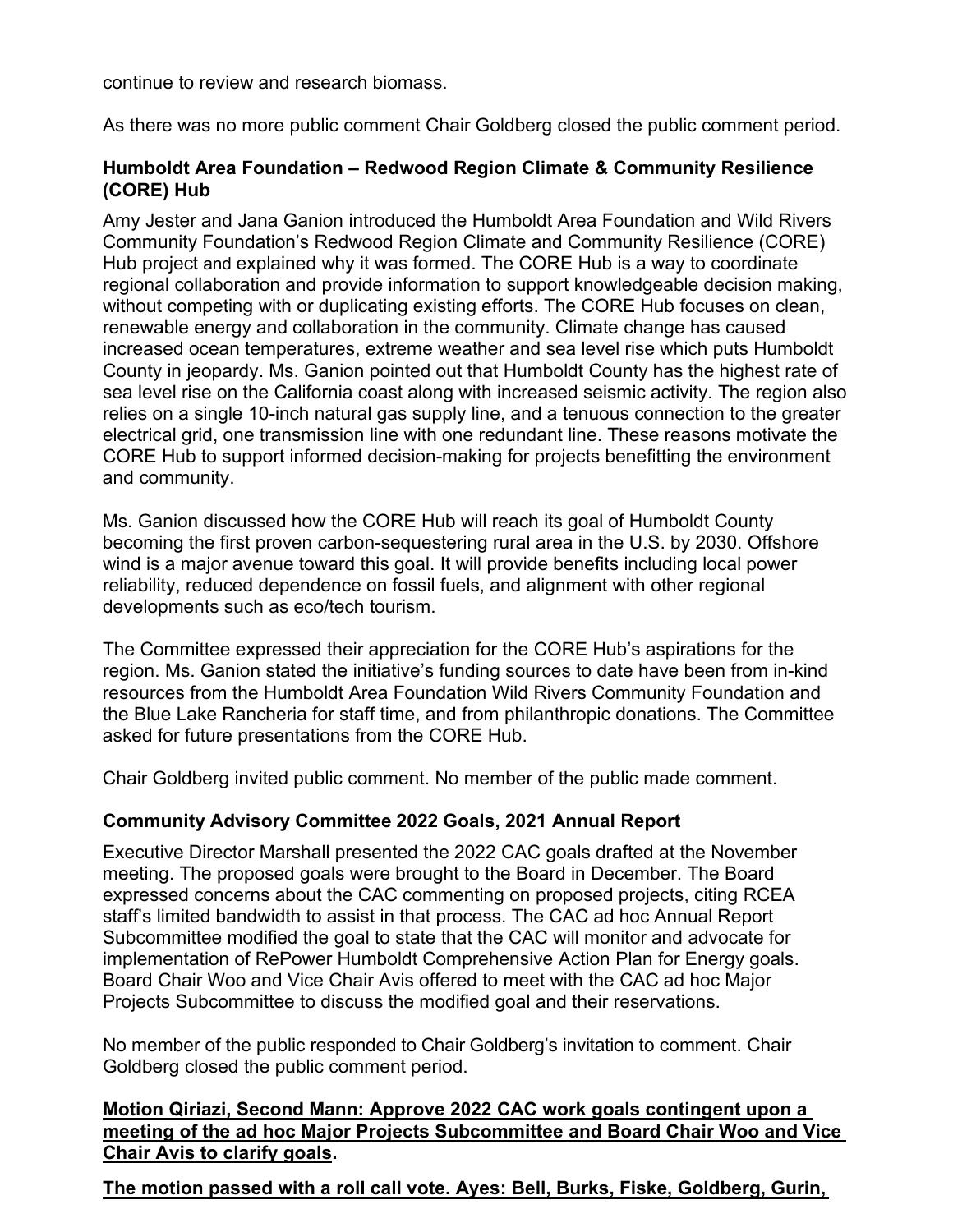continue to review and research biomass.

As there was no more public comment Chair Goldberg closed the public comment period.

#### **Humboldt Area Foundation – Redwood Region Climate & Community Resilience (CORE) Hub**

Amy Jester and Jana Ganion introduced the Humboldt Area Foundation and Wild Rivers Community Foundation's Redwood Region Climate and Community Resilience (CORE) Hub project and explained why it was formed. The CORE Hub is a way to coordinate regional collaboration and provide information to support knowledgeable decision making, without competing with or duplicating existing efforts. The CORE Hub focuses on clean, renewable energy and collaboration in the community. Climate change has caused increased ocean temperatures, extreme weather and sea level rise which puts Humboldt County in jeopardy. Ms. Ganion pointed out that Humboldt County has the highest rate of sea level rise on the California coast along with increased seismic activity. The region also relies on a single 10-inch natural gas supply line, and a tenuous connection to the greater electrical grid, one transmission line with one redundant line. These reasons motivate the CORE Hub to support informed decision-making for projects benefitting the environment and community.

Ms. Ganion discussed how the CORE Hub will reach its goal of Humboldt County becoming the first proven carbon-sequestering rural area in the U.S. by 2030. Offshore wind is a major avenue toward this goal. It will provide benefits including local power reliability, reduced dependence on fossil fuels, and alignment with other regional developments such as eco/tech tourism.

The Committee expressed their appreciation for the CORE Hub's aspirations for the region. Ms. Ganion stated the initiative's funding sources to date have been from in-kind resources from the Humboldt Area Foundation Wild Rivers Community Foundation and the Blue Lake Rancheria for staff time, and from philanthropic donations. The Committee asked for future presentations from the CORE Hub.

Chair Goldberg invited public comment. No member of the public made comment.

## **Community Advisory Committee 2022 Goals, 2021 Annual Report**

Executive Director Marshall presented the 2022 CAC goals drafted at the November meeting. The proposed goals were brought to the Board in December. The Board expressed concerns about the CAC commenting on proposed projects, citing RCEA staff's limited bandwidth to assist in that process. The CAC ad hoc Annual Report Subcommittee modified the goal to state that the CAC will monitor and advocate for implementation of RePower Humboldt Comprehensive Action Plan for Energy goals. Board Chair Woo and Vice Chair Avis offered to meet with the CAC ad hoc Major Projects Subcommittee to discuss the modified goal and their reservations.

No member of the public responded to Chair Goldberg's invitation to comment. Chair Goldberg closed the public comment period.

**Motion Qiriazi, Second Mann: Approve 2022 CAC work goals contingent upon a meeting of the ad hoc Major Projects Subcommittee and Board Chair Woo and Vice Chair Avis to clarify goals.** 

**The motion passed with a roll call vote. Ayes: Bell, Burks, Fiske, Goldberg, Gurin,**